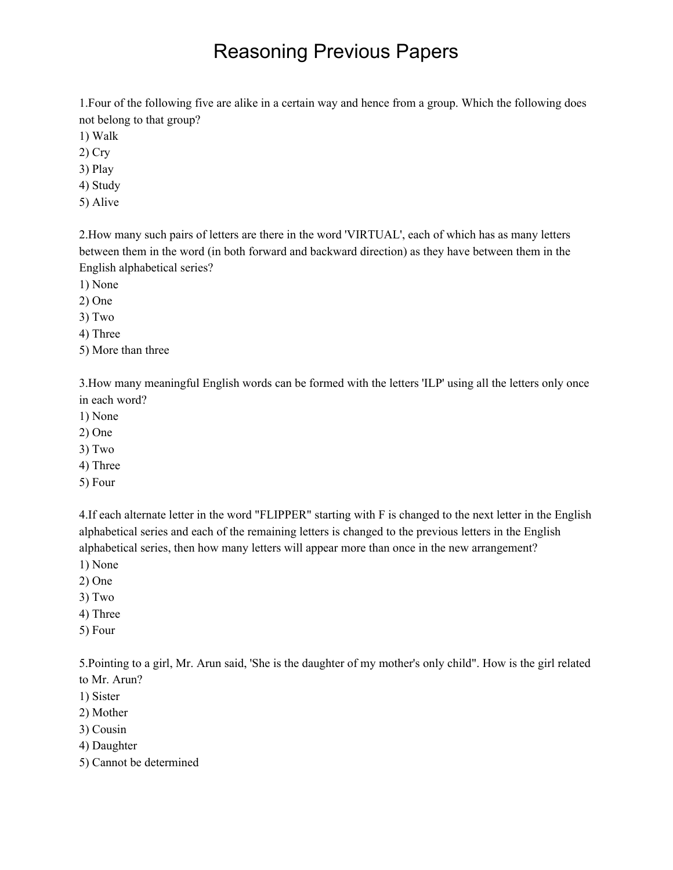1.Four of the following five are alike in a certain way and hence from a group. Which the following does not belong to that group?

- 1) Walk
- 2) Cry
- 3) Play
- 4) Study
- 5) Alive

2.How many such pairs of letters are there in the word 'VIRTUAL', each of which has as many letters between them in the word (in both forward and backward direction) as they have between them in the English alphabetical series?

- 1) None
- 2) One
- 3) Two
- 4) Three
- 5) More than three

3.How many meaningful English words can be formed with the letters 'ILP' using all the letters only once in each word?

- 1) None
- 2) One
- 3) Two
- 4) Three
- 5) Four

4.If each alternate letter in the word "FLIPPER" starting with F is changed to the next letter in the English alphabetical series and each of the remaining letters is changed to the previous letters in the English alphabetical series, then how many letters will appear more than once in the new arrangement?

- 1) None
- 2) One
- 3) Two
- 4) Three
- 5) Four

5.Pointing to a girl, Mr. Arun said, 'She is the daughter of my mother's only child". How is the girl related to Mr. Arun?

- 1) Sister
- 2) Mother
- 3) Cousin
- 4) Daughter
- 5) Cannot be determined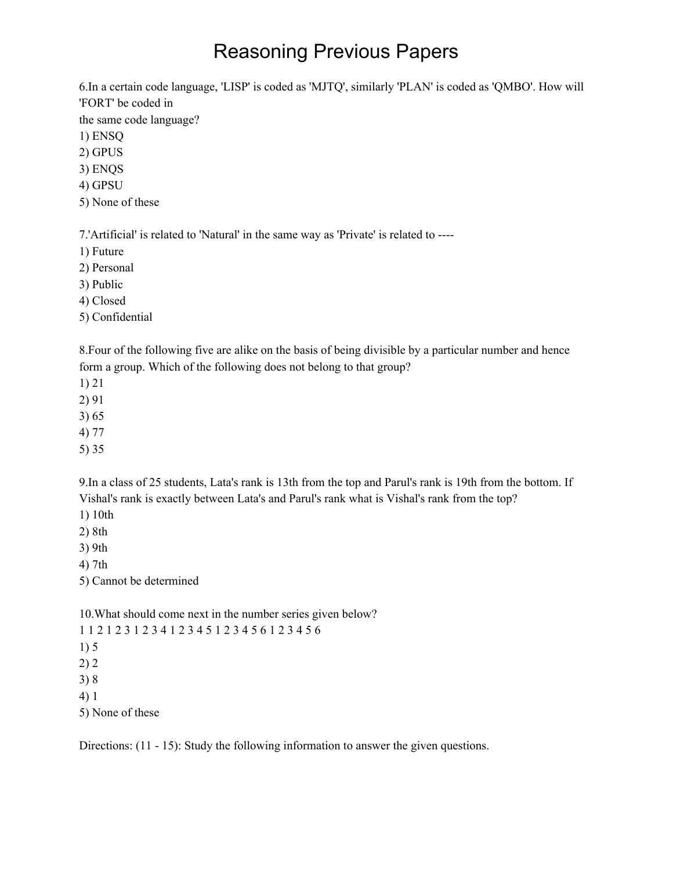6.In a certain code language, 'LISP' is coded as 'MJTQ', similarly 'PLAN' is coded as 'QMBO'. How will 'FORT' be coded in

the same code language?

1) ENSQ

2) GPUS

3) ENQS

4) GPSU

5) None of these

7.'Artificial' is related to 'Natural' in the same way as 'Private' is related to ----

1) Future

2) Personal

3) Public

4) Closed

5) Confidential

8.Four of the following five are alike on the basis of being divisible by a particular number and hence form a group. Which of the following does not belong to that group?

1) 21

2) 91

3) 65

4) 77

5) 35

9.In a class of 25 students, Lata's rank is 13th from the top and Parul's rank is 19th from the bottom. If Vishal's rank is exactly between Lata's and Parul's rank what is Vishal's rank from the top?

1) 10th

2) 8th

3) 9th

4) 7th

5) Cannot be determined

10.What should come next in the number series given below?

1 1 2 1 2 3 1 2 3 4 1 2 3 4 5 1 2 3 4 5 6 1 2 3 4 5 6

1) 5

2) 2

3) 8

4) 1

5) None of these

Directions: (11 - 15): Study the following information to answer the given questions.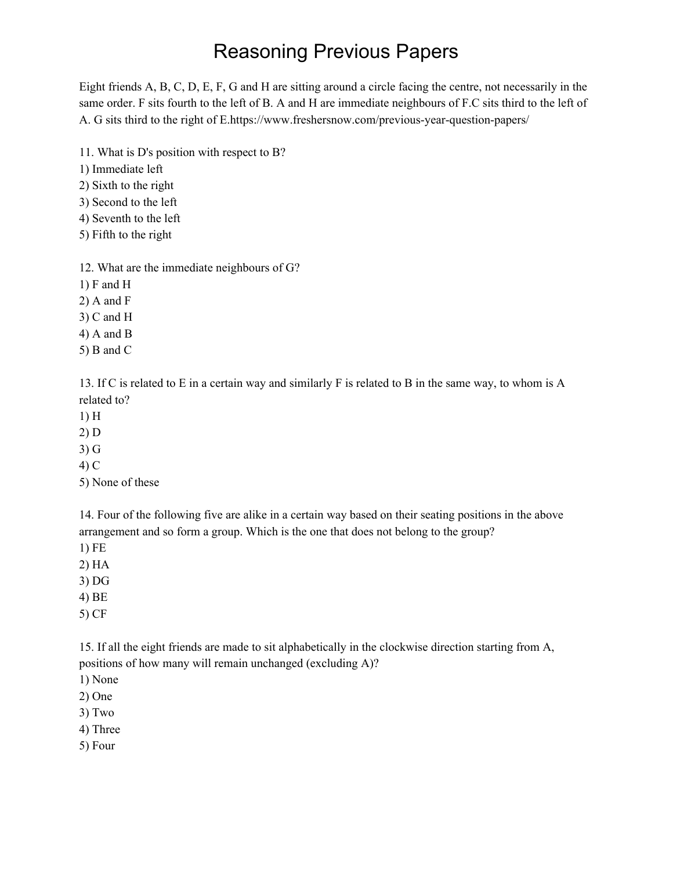Eight friends A, B, C, D, E, F, G and H are sitting around a circle facing the centre, not necessarily in the same order. F sits fourth to the left of B. A and H are immediate neighbours of F.C sits third to the left of A. G sits third to the right of E[.https://www.freshersnow.com/previous-year-question-papers/](https://www.freshersnow.com/previous-year-question-papers/)

- 11. What is D's position with respect to B?
- 1) Immediate left
- 2) Sixth to the right
- 3) Second to the left
- 4) Seventh to the left
- 5) Fifth to the right

12. What are the immediate neighbours of G?

- 1) F and H
- 2) A and F
- 3) C and H
- 4) A and B
- 5) B and C

13. If C is related to E in a certain way and similarly F is related to B in the same way, to whom is A related to?

- 1) H
- 2) D
- 3) G
- 4) C
- 5) None of these

14. Four of the following five are alike in a certain way based on their seating positions in the above arrangement and so form a group. Which is the one that does not belong to the group?

- 1) FE
- 2) HA
- 3) DG
- 4) BE
- 5) CF

15. If all the eight friends are made to sit alphabetically in the clockwise direction starting from A, positions of how many will remain unchanged (excluding A)?

- 1) None
- 2) One
- 3) Two
- 4) Three
- 5) Four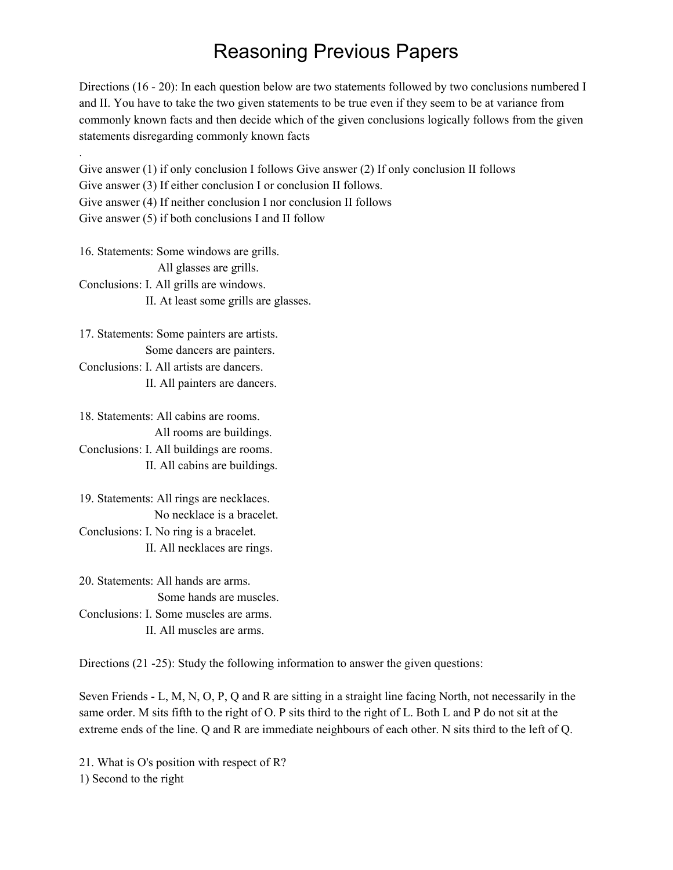Directions (16 - 20): In each question below are two statements followed by two conclusions numbered I and II. You have to take the two given statements to be true even if they seem to be at variance from commonly known facts and then decide which of the given conclusions logically follows from the given statements disregarding commonly known facts

. Give answer (1) if only conclusion I follows Give answer (2) If only conclusion II follows Give answer (3) If either conclusion I or conclusion II follows. Give answer (4) If neither conclusion I nor conclusion II follows Give answer (5) if both conclusions I and II follow

16. Statements: Some windows are grills. All glasses are grills. Conclusions: I. All grills are windows. II. At least some grills are glasses.

17. Statements: Some painters are artists. Some dancers are painters. Conclusions: I. All artists are dancers. II. All painters are dancers.

18. Statements: All cabins are rooms. All rooms are buildings. Conclusions: I. All buildings are rooms. II. All cabins are buildings.

19. Statements: All rings are necklaces. No necklace is a bracelet. Conclusions: I. No ring is a bracelet. II. All necklaces are rings.

20. Statements: All hands are arms. Some hands are muscles. Conclusions: I. Some muscles are arms. II. All muscles are arms.

Directions (21 -25): Study the following information to answer the given questions:

Seven Friends - L, M, N, O, P, Q and R are sitting in a straight line facing North, not necessarily in the same order. M sits fifth to the right of O. P sits third to the right of L. Both L and P do not sit at the extreme ends of the line. Q and R are immediate neighbours of each other. N sits third to the left of Q.

21. What is O's position with respect of R? 1) Second to the right